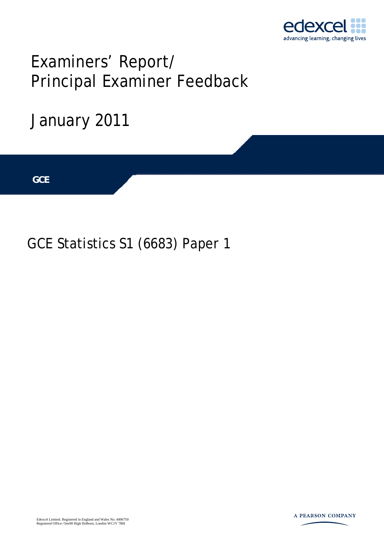

## Examiners' Report/ Principal Examiner Feedback

# January 2011 **IGCSE GCE**

### GCE Statistics S1 (6683) Paper 1

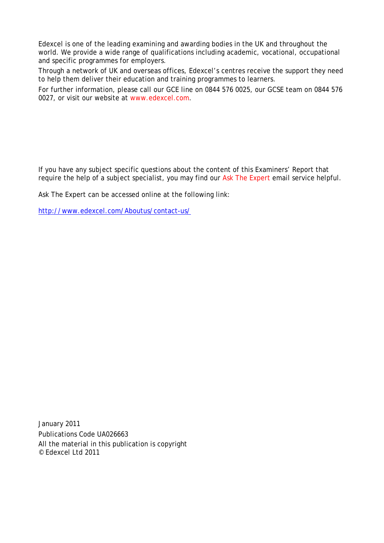Edexcel is one of the leading examining and awarding bodies in the UK and throughout the world. We provide a wide range of qualifications including academic, vocational, occupational and specific programmes for employers.

Through a network of UK and overseas offices, Edexcel's centres receive the support they need to help them deliver their education and training programmes to learners.

For further information, please call our GCE line on 0844 576 0025, our GCSE team on 0844 576 0027, or visit our website at www.edexcel.com.

If you have any subject specific questions about the content of this Examiners' Report that require the help of a subject specialist, you may find our Ask The Expert email service helpful.

Ask The Expert can be accessed online at the following link:

http://www.edexcel.com/Aboutus/contact-us/

January 2011 Publications Code UA026663 All the material in this publication is copyright © Edexcel Ltd 2011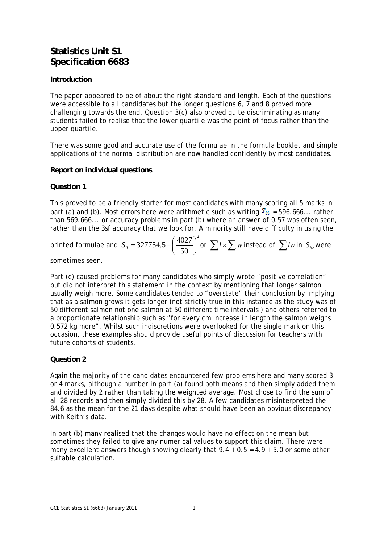#### **Statistics Unit S1 Specification 6683**

#### **Introduction**

The paper appeared to be of about the right standard and length. Each of the questions were accessible to all candidates but the longer questions 6, 7 and 8 proved more challenging towards the end. Question 3(c) also proved quite discriminating as many students failed to realise that the lower quartile was the point of focus rather than the upper quartile.

There was some good and accurate use of the formulae in the formula booklet and simple applications of the normal distribution are now handled confidently by most candidates.

#### **Report on individual questions**

#### **Question 1**

This proved to be a friendly starter for most candidates with many scoring all 5 marks in part (a) and (b). Most errors here were arithmetic such as writing  $\delta u = 596.666...$  rather than 569.666... or accuracy problems in part (b) where an answer of 0.57 was often seen, rather than the 3sf accuracy that we look for. A minority still have difficulty in using the

printed formulae and 
$$
S_{ll} = 327754.5 - \left(\frac{4027}{50}\right)^2
$$
 or  $\sum l \times \sum w$  instead of  $\sum l w$  in  $S_{lw}$  were

sometimes seen.

Part (c) caused problems for many candidates who simply wrote "positive correlation" but did not interpret this statement in the context by mentioning that longer salmon usually weigh more. Some candidates tended to "overstate" their conclusion by implying that as a salmon grows it gets longer (not strictly true in this instance as the study was of 50 different salmon not one salmon at 50 different time intervals ) and others referred to a proportionate relationship such as "for every cm increase in length the salmon weighs 0.572 kg more". Whilst such indiscretions were overlooked for the single mark on this occasion, these examples should provide useful points of discussion for teachers with future cohorts of students.

#### **Question 2**

Again the majority of the candidates encountered few problems here and many scored 3 or 4 marks, although a number in part (a) found both means and then simply added them and divided by 2 rather than taking the weighted average. Most chose to find the sum of all 28 records and then simply divided this by 28. A few candidates misinterpreted the 84.6 as the mean for the 21 days despite what should have been an obvious discrepancy with Keith's data.

In part (b) many realised that the changes would have no effect on the mean but sometimes they failed to give any numerical values to support this claim. There were many excellent answers though showing clearly that  $9.4 + 0.5 = 4.9 + 5.0$  or some other suitable calculation.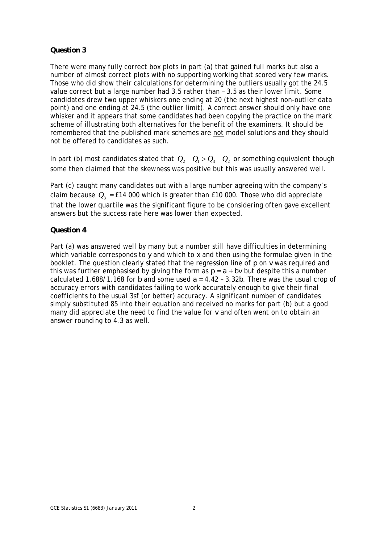#### **Question 3**

There were many fully correct box plots in part (a) that gained full marks but also a number of almost correct plots with no supporting working that scored very few marks. Those who did show their calculations for determining the outliers usually got the 24.5 value correct but a large number had 3.5 rather than – 3.5 as their lower limit. Some candidates drew two upper whiskers one ending at 20 (the next highest non-outlier data point) and one ending at 24.5 (the outlier limit). A correct answer should only have one whisker and it appears that some candidates had been copying the practice on the mark scheme of illustrating both alternatives for the benefit of the examiners. It should be remembered that the published mark schemes are not model solutions and they should not be offered to candidates as such.

In part (b) most candidates stated that  $Q_2 - Q_1 > Q_3 - Q_2$  or something equivalent though some then claimed that the skewness was positive but this was usually answered well.

Part (c) caught many candidates out with a large number agreeing with the company's claim because  $Q_3$  = £14 000 which is greater than £10 000. Those who did appreciate that the lower quartile was the significant figure to be considering often gave excellent answers but the success rate here was lower than expected.

#### **Question 4**

Part (a) was answered well by many but a number still have difficulties in determining which variable corresponds to *y* and which to *x* and then using the formulae given in the booklet. The question clearly stated that the regression line of *p* on *v* was required and this was further emphasised by giving the form as  $p = a + bv$  but despite this a number calculated 1.688/1.168 for *b* and some used  $a = 4.42 - 3.32b$ . There was the usual crop of accuracy errors with candidates failing to work accurately enough to give their final coefficients to the usual 3sf (or better) accuracy. A significant number of candidates simply substituted 85 into their equation and received no marks for part (b) but a good many did appreciate the need to find the value for *v* and often went on to obtain an answer rounding to 4.3 as well.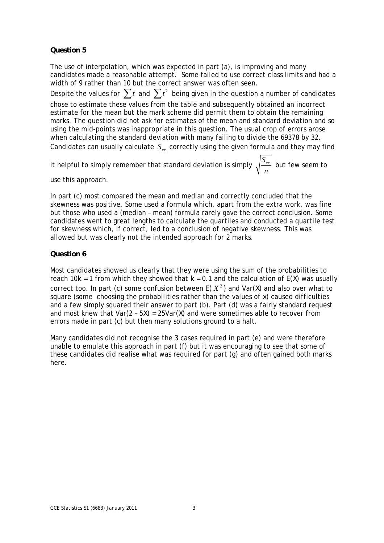#### **Question 5**

The use of interpolation, which was expected in part (a), is improving and many candidates made a reasonable attempt. Some failed to use correct class limits and had a width of 9 rather than 10 but the correct answer was often seen. Despite the values for  $\sum t$  and  $\sum t^2$  being given in the question a number of candidates chose to estimate these values from the table and subsequently obtained an incorrect estimate for the mean but the mark scheme did permit them to obtain the remaining marks. The question did not ask for estimates of the mean and standard deviation and so using the mid-points was inappropriate in this question. The usual crop of errors arose when calculating the standard deviation with many failing to divide the 69378 by 32. Candidates can usually calculate  $S_{rr}$  correctly using the given formula and they may find

it helpful to simply remember that standard deviation is simply  $\sqrt{\frac{S_{xx}}{S_{xx}}}$ *n* but few seem to

use this approach.

In part (c) most compared the mean and median and correctly concluded that the skewness was positive. Some used a formula which, apart from the extra work, was fine but those who used a (median – mean) formula rarely gave the correct conclusion. Some candidates went to great lengths to calculate the quartiles and conducted a quartile test for skewness which, if correct, led to a conclusion of negative skewness. This was allowed but was clearly not the intended approach for 2 marks.

#### **Question 6**

Most candidates showed us clearly that they were using the sum of the probabilities to reach 10 $k = 1$  from which they showed that  $k = 0.1$  and the calculation of  $E(X)$  was usually correct too. In part (c) some confusion between  $E(X^2)$  and Var(X) and also over what to square (some choosing the probabilities rather than the values of *x*) caused difficulties and a few simply squared their answer to part (b). Part (d) was a fairly standard request and most knew that  $Var(2 - 5\lambda) = 25Var(\lambda)$  and were sometimes able to recover from errors made in part (c) but then many solutions ground to a halt.

Many candidates did not recognise the 3 cases required in part (e) and were therefore unable to emulate this approach in part (f) but it was encouraging to see that some of these candidates did realise what was required for part (g) and often gained both marks here.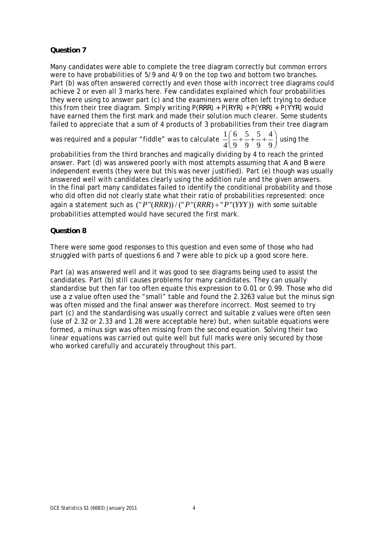#### **Question 7**

Many candidates were able to complete the tree diagram correctly but common errors were to have probabilities of 5/9 and 4/9 on the top two and bottom two branches. Part (b) was often answered correctly and even those with incorrect tree diagrams could achieve 2 or even all 3 marks here. Few candidates explained which four probabilities they were using to answer part (c) and the examiners were often left trying to deduce this from their tree diagram. Simply writing P(*RRR*) + P(*RYR*) + P(*YRR*) + P(*YYR*) would have earned them the first mark and made their solution much clearer. Some students failed to appreciate that a sum of 4 products of 3 probabilities from their tree diagram

was required and a popular "fiddle" was to calculate  $\frac{1}{2} \left( \frac{6}{2} + \frac{5}{3} + \frac{4}{3} + \frac{1}{4} \right)$  $\frac{1}{4} \left( \frac{6}{9} + \frac{5}{9} + \frac{5}{9} + \frac{4}{9} \right)$  using the

probabilities from the third branches and magically dividing by 4 to reach the printed answer. Part (d) was answered poorly with most attempts assuming that *A* and *B* were independent events (they were but this was never justified). Part (e) though was usually answered well with candidates clearly using the addition rule and the given answers. In the final part many candidates failed to identify the conditional probability and those who did often did not clearly state what their ratio of probabilities represented: once again a statement such as  $("P"(RRR)) / ("P"(RRR) + "P"(YY))$  with some suitable probabilities attempted would have secured the first mark.

#### **Question 8**

There were some good responses to this question and even some of those who had struggled with parts of questions 6 and 7 were able to pick up a good score here.

Part (a) was answered well and it was good to see diagrams being used to assist the candidates. Part (b) still causes problems for many candidates. They can usually standardise but then far too often equate this expression to 0.01 or 0.99. Those who did use a *z* value often used the "small" table and found the 2.3263 value but the minus sign was often missed and the final answer was therefore incorrect. Most seemed to try part (c) and the standardising was usually correct and suitable *z* values were often seen (use of 2.32 or 2.33 and 1.28 were acceptable here) but, when suitable equations were formed, a minus sign was often missing from the second equation. Solving their two linear equations was carried out quite well but full marks were only secured by those who worked carefully and accurately throughout this part.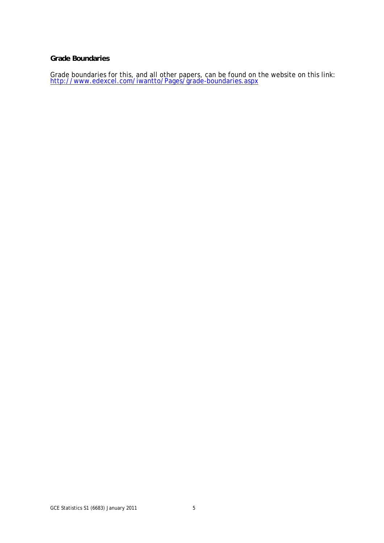#### **Grade Boundaries**

Grade boundaries for this, and all other papers, can be found on the website on this link:<br>http://www.edexcel.com/iwantto/Pages/grade-boundaries.aspx